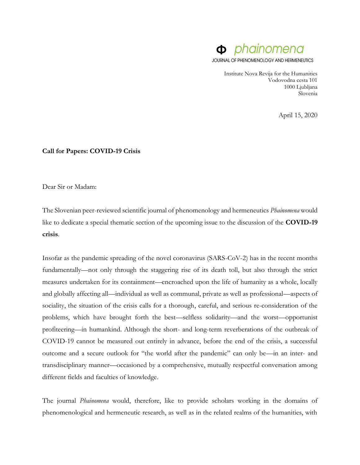

Institute Nova Revija for the Humanities Vodovodna cesta 101 1000 Ljubljana Slovenia

April 15, 2020

## **Call for Papers: COVID-19 Crisis**

Dear Sir or Madam:

The Slovenian peer-reviewed scientific journal of phenomenology and hermeneutics *Phainomena* would like to dedicate a special thematic section of the upcoming issue to the discussion of the **COVID-19 crisis**.

Insofar as the pandemic spreading of the novel coronavirus (SARS-CoV-2) has in the recent months fundamentally—not only through the staggering rise of its death toll, but also through the strict measures undertaken for its containment—encroached upon the life of humanity as a whole, locally and globally affecting all—individual as well as communal, private as well as professional—aspects of sociality, the situation of the crisis calls for a thorough, careful, and serious re-consideration of the problems, which have brought forth the best—selfless solidarity—and the worst—opportunist profiteering—in humankind. Although the short- and long-term reverberations of the outbreak of COVID-19 cannot be measured out entirely in advance, before the end of the crisis, a successful outcome and a secure outlook for "the world after the pandemic" can only be—in an inter- and transdisciplinary manner—occasioned by a comprehensive, mutually respectful conversation among different fields and faculties of knowledge.

The journal *Phainomena* would, therefore, like to provide scholars working in the domains of phenomenological and hermeneutic research, as well as in the related realms of the humanities, with